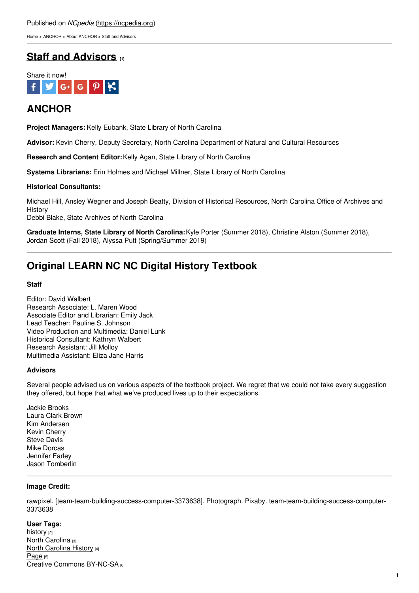### Published on *NCpedia* [\(https://ncpedia.org](https://ncpedia.org))

[Home](https://ncpedia.org/) > [ANCHOR](https://ncpedia.org/anchor/anchor) > About [ANCHOR](https://ncpedia.org/anchor/about-anchor) > Staff and Advisors

## **Staff and [Advisors](https://ncpedia.org/anchor/staff-and-advisors) [1]**



## **ANCHOR**

**Project Managers:** Kelly Eubank, State Library of North Carolina

**Advisor:** Kevin Cherry, Deputy Secretary, North Carolina Department of Natural and Cultural Resources

**Research and Content Editor:**Kelly Agan, State Library of North Carolina

**Systems Librarians:** Erin Holmes and Michael Millner, State Library of North Carolina

### **Historical Consultants:**

Michael Hill, Ansley Wegner and Joseph Beatty, Division of Historical Resources, North Carolina Office of Archives and **History** 

Debbi Blake, State Archives of North Carolina

**Graduate Interns, State Library of North Carolina:**Kyle Porter (Summer 2018), Christine Alston (Summer 2018), Jordan Scott (Fall 2018), Alyssa Putt (Spring/Summer 2019)

# **Original LEARN NC NC Digital History Textbook**

### **Staff**

Editor: David Walbert Research Associate: L. Maren Wood Associate Editor and Librarian: Emily Jack Lead Teacher: Pauline S. Johnson Video Production and Multimedia: Daniel Lunk Historical Consultant: Kathryn Walbert Research Assistant: Jill Molloy Multimedia Assistant: Eliza Jane Harris

### **Advisors**

Several people advised us on various aspects of the textbook project. We regret that we could not take every suggestion they offered, but hope that what we've produced lives up to their expectations.

Jackie Brooks Laura Clark Brown Kim Andersen Kevin Cherry Steve Davis Mike Dorcas Jennifer Farley Jason Tomberlin

### **Image Credit:**

rawpixel. [team-team-building-success-computer-3373638]. Photograph. Pixaby. team-team-building-success-computer-3373638

#### **User Tags:**

[history](https://ncpedia.org/category/user-tags/history) [2] North [Carolina](https://ncpedia.org/category/user-tags/north-carolina-5) [3] North [Carolina](https://ncpedia.org/category/user-tags/north-carolina-6) History [4] [Page](https://ncpedia.org/category/user-tags/page) [5] Creative Commons [BY-NC-SA](https://ncpedia.org/category/user-tags/creative-commons) [6]